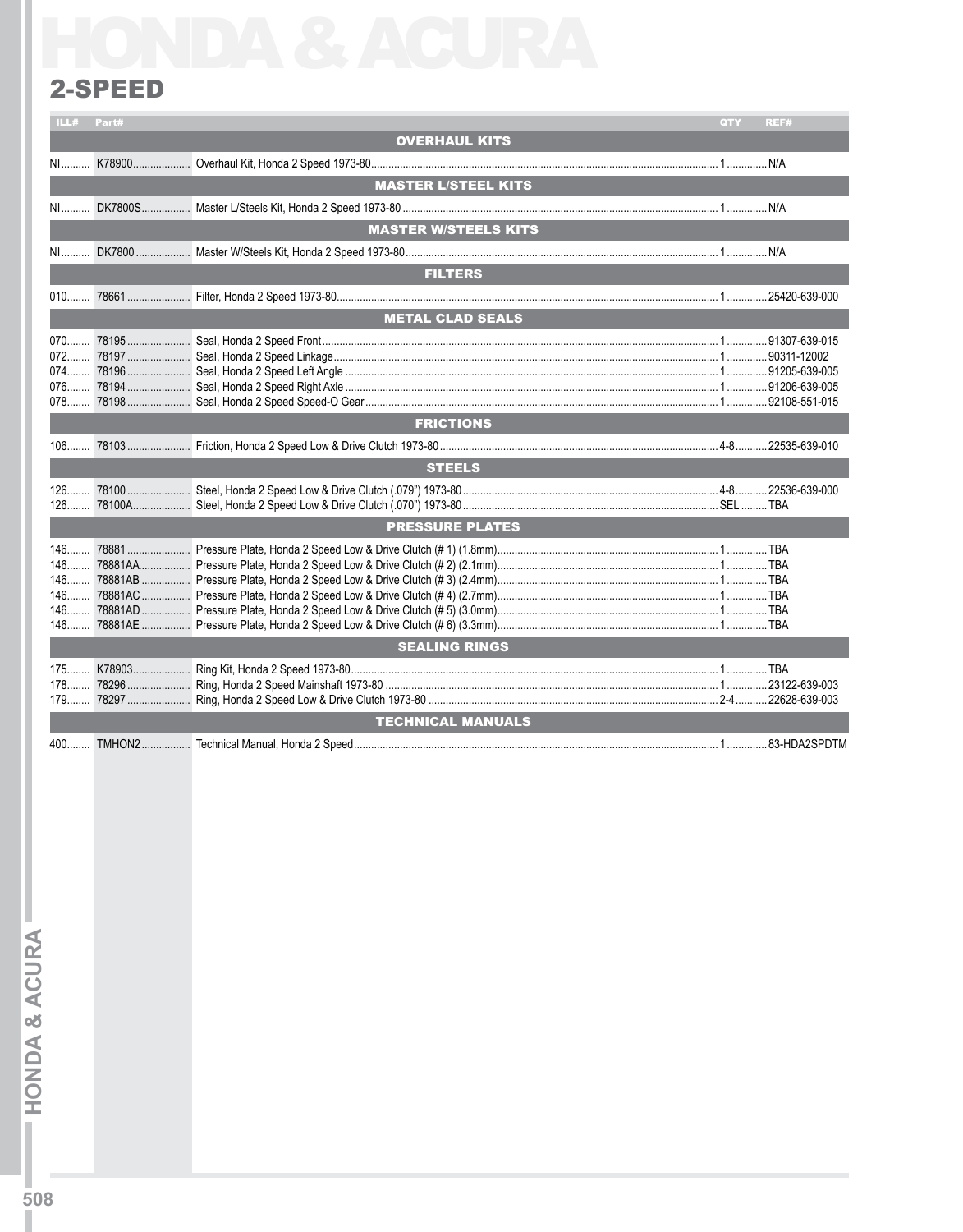## 2-SPEED

| ILL#  | Part# |                             | QTY | REF# |
|-------|-------|-----------------------------|-----|------|
|       |       | <b>OVERHAUL KITS</b>        |     |      |
| $N1$  |       |                             |     |      |
|       |       | <b>MASTER L/STEEL KITS</b>  |     |      |
| NI    |       |                             |     |      |
|       |       | <b>MASTER W/STEELS KITS</b> |     |      |
|       |       |                             |     |      |
|       |       | <b>FILTERS</b>              |     |      |
|       |       |                             |     |      |
|       |       | <b>METAL CLAD SEALS</b>     |     |      |
|       |       |                             |     |      |
|       |       | <b>FRICTIONS</b>            |     |      |
|       |       |                             |     |      |
|       |       | <b>STEELS</b>               |     |      |
|       |       |                             |     |      |
|       |       | <b>PRESSURE PLATES</b>      |     |      |
| $146$ |       | <b>SEALING RINGS</b>        |     |      |
|       |       |                             |     |      |
|       |       | <b>TECHNICAL MANUALS</b>    |     |      |
| $400$ |       |                             |     |      |
|       |       |                             |     |      |

**HONDA & ACURA**